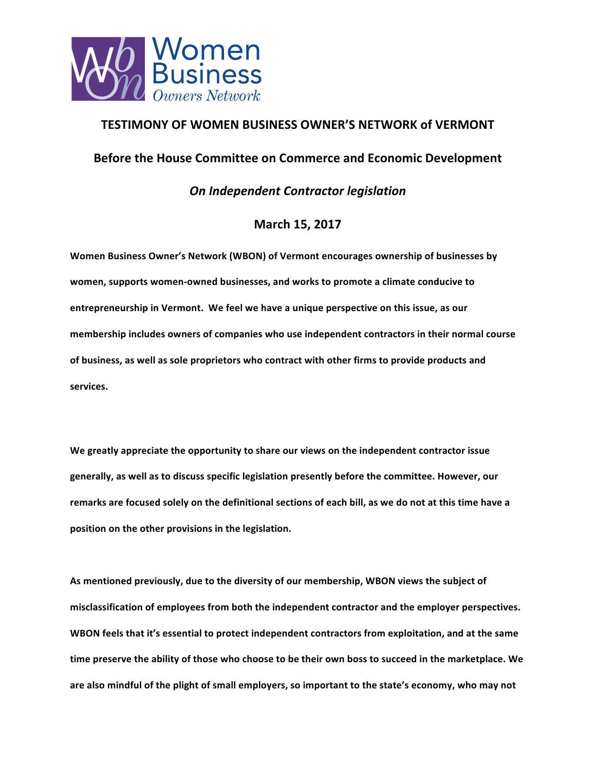

## **TESTIMONY OF WOMEN BUSINESS OWNER'S NETWORK of VERMONT**

## **Before the House Committee on Commerce and Economic Development**

*On Independent Contractor legislation*

## **March 15, 2017**

**Women Business Owner's Network (WBON) of Vermont encourages ownership of businesses by** women, supports women-owned businesses, and works to promote a climate conducive to entrepreneurship in Vermont. We feel we have a unique perspective on this issue, as our **membership includes owners of companies who use independent contractors in their normal course**  of business, as well as sole proprietors who contract with other firms to provide products and **services.** 

We greatly appreciate the opportunity to share our views on the independent contractor issue generally, as well as to discuss specific legislation presently before the committee. However, our remarks are focused solely on the definitional sections of each bill, as we do not at this time have a position on the other provisions in the legislation.

As mentioned previously, due to the diversity of our membership, WBON views the subject of misclassification of employees from both the independent contractor and the employer perspectives. **WBON** feels that it's essential to protect independent contractors from exploitation, and at the same time preserve the ability of those who choose to be their own boss to succeed in the marketplace. We are also mindful of the plight of small employers, so important to the state's economy, who may not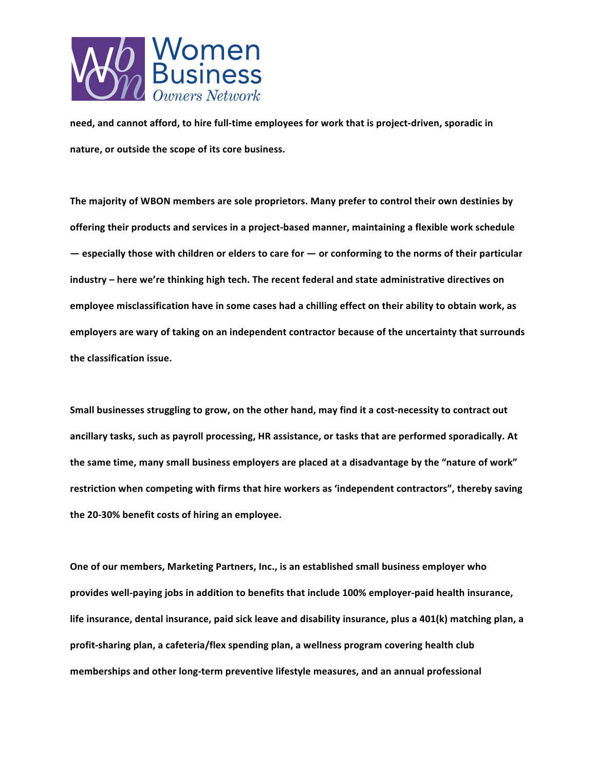

need, and cannot afford, to hire full-time employees for work that is project-driven, sporadic in nature, or outside the scope of its core business.

The majority of WBON members are sole proprietors. Many prefer to control their own destinies by offering their products and services in a project-based manner, maintaining a flexible work schedule  $-$  **especially** those with children or elders to care for  $-$  or conforming to the norms of their particular industry – here we're thinking high tech. The recent federal and state administrative directives on employee misclassification have in some cases had a chilling effect on their ability to obtain work, as employers are wary of taking on an independent contractor because of the uncertainty that surrounds the classification issue.

**Small businesses struggling to grow, on the other hand, may find it a cost-necessity to contract out** ancillary tasks, such as payroll processing, HR assistance, or tasks that are performed sporadically. At the same time, many small business employers are placed at a disadvantage by the "nature of work" restriction when competing with firms that hire workers as 'independent contractors", thereby saving the 20-30% benefit costs of hiring an employee.

**One of our members, Marketing Partners, Inc., is an established small business employer who** provides well-paying jobs in addition to benefits that include 100% employer-paid health insurance, life insurance, dental insurance, paid sick leave and disability insurance, plus a 401(k) matching plan, a profit-sharing plan, a cafeteria/flex spending plan, a wellness program covering health club memberships and other long-term preventive lifestyle measures, and an annual professional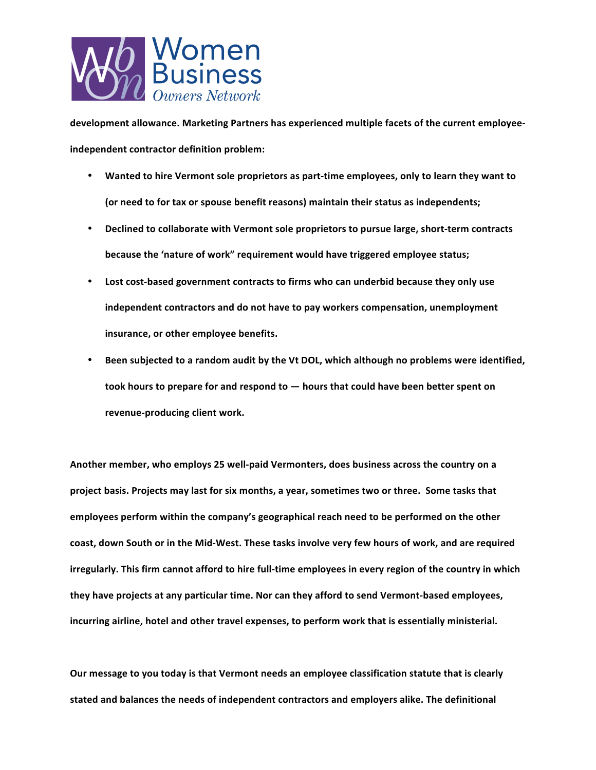

development allowance. Marketing Partners has experienced multiple facets of the current employee**independent contractor definition problem:** 

- Wanted to hire Vermont sole proprietors as part-time employees, only to learn they want to (or need to for tax or spouse benefit reasons) maintain their status as independents;
- **Declined to collaborate with Vermont sole proprietors to pursue large, short-term contracts because the 'nature of work" requirement would have triggered employee status;**
- Lost cost-based government contracts to firms who can underbid because they only use independent contractors and do not have to pay workers compensation, unemployment **insurance, or other employee benefits.**
- Been subjected to a random audit by the Vt DOL, which although no problems were identified, took hours to prepare for and respond to  $-$  hours that could have been better spent on revenue-producing client work.

Another member, who employs 25 well-paid Vermonters, does business across the country on a project basis. Projects may last for six months, a year, sometimes two or three. Some tasks that employees perform within the company's geographical reach need to be performed on the other coast, down South or in the Mid-West. These tasks involve very few hours of work, and are required irregularly. This firm cannot afford to hire full-time employees in every region of the country in which they have projects at any particular time. Nor can they afford to send Vermont-based employees, incurring airline, hotel and other travel expenses, to perform work that is essentially ministerial.

Our message to you today is that Vermont needs an employee classification statute that is clearly stated and balances the needs of independent contractors and employers alike. The definitional